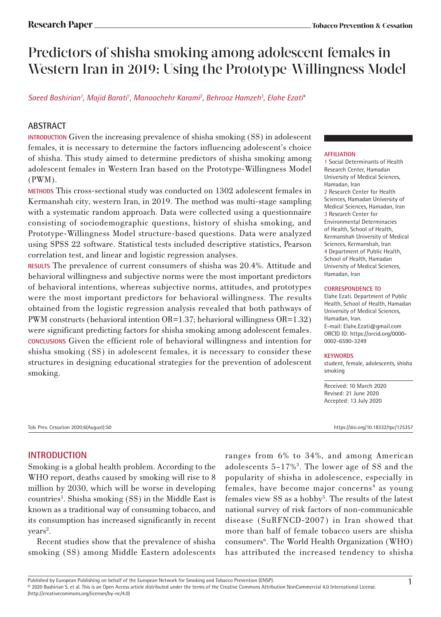# Predictors of shisha smoking among adolescent females in Western Iran in 2019: Using the Prototype-Willingness Model

Saeed Bashirian<sup>1</sup>, Majid Barati<sup>1</sup>, Manoochehr Karami<sup>2</sup>, Behrooz Hamzeh<sup>3</sup>, Elahe Ezati<sup>4</sup>

# **ABSTRACT**

**INTRODUCTION** Given the increasing prevalence of shisha smoking (SS) in adolescent females, it is necessary to determine the factors influencing adolescent's choice of shisha. This study aimed to determine predictors of shisha smoking among adolescent females in Western Iran based on the Prototype-Willingness Model (PWM).

**METHODS** This cross-sectional study was conducted on 1302 adolescent females in Kermanshah city, western Iran, in 2019. The method was multi-stage sampling with a systematic random approach. Data were collected using a questionnaire consisting of sociodemographic questions, history of shisha smoking, and Prototype-Willingness Model structure-based questions. Data were analyzed using SPSS 22 software. Statistical tests included descriptive statistics, Pearson correlation test, and linear and logistic regression analyses.

**RESULTS** The prevalence of current consumers of shisha was 20.4%. Attitude and behavioral willingness and subjective norms were the most important predictors of behavioral intentions, whereas subjective norms, attitudes, and prototypes were the most important predictors for behavioral willingness. The results obtained from the logistic regression analysis revealed that both pathways of PWM constructs (behavioral intention OR=1.37; behavioral willingness OR=1.32) were significant predicting factors for shisha smoking among adolescent females. **CONCLUSIONS** Given the efficient role of behavioral willingness and intention for shisha smoking (SS) in adolescent females, it is necessary to consider these structures in designing educational strategies for the prevention of adolescent smoking.

#### **AFFILIATION**

1 Social Determinants of Health Research Center, Hamadan University of Medical Sciences, Hamadan, Iran 2 Research Center for Health Sciences, Hamadan University of Medical Sciences, Hamadan, Iran 3 Research Center for Environmental Determinacies of Health, School of Health, Kermanshah University of Medical Sciences, Kermanshah, Iran 4 Department of Public Health, School of Health, Hamadan University of Medical Sciences, Hamadan, Iran

#### **CORRESPONDENCE TO**

Elahe Ezati. Department of Public Health, School of Health, Hamadan University of Medical Sciences, Hamadan, Iran. E-mail: Elahe.Ezati@gmail.com ORCID ID: https://orcid.org/0000- 0002-6590-3249

#### **KEYWORDS**

student, female, adolescents, shisha smoking

Received: 10 March 2020 Revised: 21 June 2020 Accepted: 13 July 2020

Tob. Prev. Cessation 2020;6(August):50 https://doi.org/10.18332/tpc/125357

# **INTRODUCTION**

Smoking is a global health problem. According to the WHO report, deaths caused by smoking will rise to 8 million by 2030, which will be worse in developing countries<sup>1</sup>. Shisha smoking (SS) in the Middle East is known as a traditional way of consuming tobacco, and its consumption has increased significantly in recent  $years<sup>2</sup>.$ 

Recent studies show that the prevalence of shisha smoking (SS) among Middle Eastern adolescents

ranges from 6% to 34%, and among American adolescents 5–17%3 . The lower age of SS and the popularity of shisha in adolescence, especially in females, have become major concerns<sup>4</sup> as young females view SS as a hobby<sup>5</sup>. The results of the latest national survey of risk factors of non-communicable disease (SuRFNCD-2007) in Iran showed that more than half of female tobacco users are shisha consumers<sup>6</sup>. The World Health Organization (WHO) has attributed the increased tendency to shisha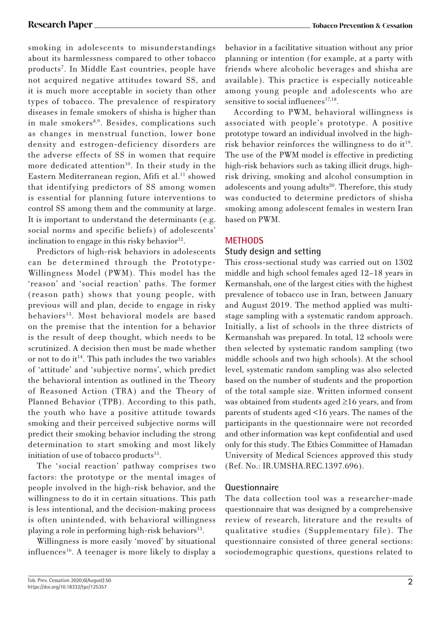smoking in adolescents to misunderstandings about its harmlessness compared to other tobacco products7 . In Middle East countries, people have not acquired negative attitudes toward SS, and it is much more acceptable in society than other types of tobacco. The prevalence of respiratory diseases in female smokers of shisha is higher than in male smokers<sup>8,9</sup>. Besides, complications such as changes in menstrual function, lower bone density and estrogen-deficiency disorders are the adverse effects of SS in women that require more dedicated attention<sup>10</sup>. In their study in the Eastern Mediterranean region, Afifi et al.<sup>11</sup> showed that identifying predictors of SS among women is essential for planning future interventions to control SS among them and the community at large. It is important to understand the determinants (e.g. social norms and specific beliefs) of adolescents' inclination to engage in this risky behavior $12$ .

Predictors of high-risk behaviors in adolescents can be determined through the Prototype-Willingness Model (PWM). This model has the 'reason' and 'social reaction' paths. The former (reason path) shows that young people, with previous will and plan, decide to engage in risky behaviors<sup>13</sup>. Most behavioral models are based on the premise that the intention for a behavior is the result of deep thought, which needs to be scrutinized. A decision then must be made whether or not to do it<sup>14</sup>. This path includes the two variables of 'attitude' and 'subjective norms', which predict the behavioral intention as outlined in the Theory of Reasoned Action (TRA) and the Theory of Planned Behavior (TPB). According to this path, the youth who have a positive attitude towards smoking and their perceived subjective norms will predict their smoking behavior including the strong determination to start smoking and most likely initiation of use of tobacco products<sup>15</sup>.

The 'social reaction' pathway comprises two factors: the prototype or the mental images of people involved in the high-risk behavior, and the willingness to do it in certain situations. This path is less intentional, and the decision-making process is often unintended, with behavioral willingness playing a role in performing high-risk behaviors $^{13}$ .

Willingness is more easily 'moved' by situational influences<sup>16</sup>. A teenager is more likely to display a

According to PWM, behavioral willingness is associated with people's prototype. A positive prototype toward an individual involved in the highrisk behavior reinforces the willingness to do it<sup>19</sup>. The use of the PWM model is effective in predicting high-risk behaviors such as taking illicit drugs, highrisk driving, smoking and alcohol consumption in adolescents and young adults<sup>20</sup>. Therefore, this study was conducted to determine predictors of shisha smoking among adolescent females in western Iran based on PWM.

# **METHODS**

#### **Study design and setting**

This cross-sectional study was carried out on 1302 middle and high school females aged 12–18 years in Kermanshah, one of the largest cities with the highest prevalence of tobacco use in Iran, between January and August 2019. The method applied was multistage sampling with a systematic random approach. Initially, a list of schools in the three districts of Kermanshah was prepared. In total, 12 schools were then selected by systematic random sampling (two middle schools and two high schools). At the school level, systematic random sampling was also selected based on the number of students and the proportion of the total sample size. Written informed consent was obtained from students aged ≥16 years, and from parents of students aged <16 years. The names of the participants in the questionnaire were not recorded and other information was kept confidential and used only for this study. The Ethics Committee of Hamadan University of Medical Sciences approved this study (Ref. No.: IR.UMSHA.REC.1397.696).

# **Questionnaire**

The data collection tool was a researcher-made questionnaire that was designed by a comprehensive review of research, literature and the results of qualitative studies (Supplementary file). The questionnaire consisted of three general sections: sociodemographic questions, questions related to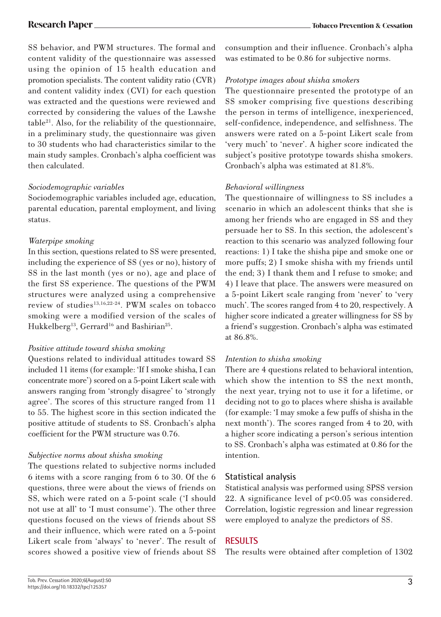SS behavior, and PWM structures. The formal and content validity of the questionnaire was assessed using the opinion of 15 health education and promotion specialists. The content validity ratio (CVR) and content validity index (CVI) for each question was extracted and the questions were reviewed and corrected by considering the values of the Lawshe  $table<sup>21</sup>$ . Also, for the reliability of the questionnaire, in a preliminary study, the questionnaire was given to 30 students who had characteristics similar to the main study samples. Cronbach's alpha coefficient was then calculated.

#### *Sociodemographic variables*

Sociodemographic variables included age, education, parental education, parental employment, and living status.

#### *Waterpipe smoking*

In this section, questions related to SS were presented, including the experience of SS (yes or no), history of SS in the last month (yes or no), age and place of the first SS experience. The questions of the PWM structures were analyzed using a comprehensive review of studies<sup>13,16,22-24</sup>. PWM scales on tobacco smoking were a modified version of the scales of Hukkelberg<sup>13</sup>, Gerrard<sup>16</sup> and Bashirian<sup>25</sup>.

# *Positive attitude toward shisha smoking*

Questions related to individual attitudes toward SS included 11 items (for example: 'If I smoke shisha, I can concentrate more') scored on a 5-point Likert scale with answers ranging from 'strongly disagree' to 'strongly agree'. The scores of this structure ranged from 11 to 55. The highest score in this section indicated the positive attitude of students to SS. Cronbach's alpha coefficient for the PWM structure was 0.76.

# *Subjective norms about shisha smoking*

The questions related to subjective norms included 6 items with a score ranging from 6 to 30. Of the 6 questions, three were about the views of friends on SS, which were rated on a 5-point scale ('I should not use at all' to 'I must consume'). The other three questions focused on the views of friends about SS and their influence, which were rated on a 5-point Likert scale from 'always' to 'never'. The result of scores showed a positive view of friends about SS

consumption and their influence. Cronbach's alpha was estimated to be 0.86 for subjective norms.

#### *Prototype images about shisha smokers*

The questionnaire presented the prototype of an SS smoker comprising five questions describing the person in terms of intelligence, inexperienced, self-confidence, independence, and selfishness. The answers were rated on a 5-point Likert scale from 'very much' to 'never'. A higher score indicated the subject's positive prototype towards shisha smokers. Cronbach's alpha was estimated at 81.8%.

# *Behavioral willingness*

The questionnaire of willingness to SS includes a scenario in which an adolescent thinks that she is among her friends who are engaged in SS and they persuade her to SS. In this section, the adolescent's reaction to this scenario was analyzed following four reactions: 1) I take the shisha pipe and smoke one or more puffs; 2) I smoke shisha with my friends until the end; 3) I thank them and I refuse to smoke; and 4) I leave that place. The answers were measured on a 5-point Likert scale ranging from 'never' to 'very much'. The scores ranged from 4 to 20, respectively. A higher score indicated a greater willingness for SS by a friend's suggestion. Cronbach's alpha was estimated at 86.8%.

# *Intention to shisha smoking*

There are 4 questions related to behavioral intention, which show the intention to SS the next month, the next year, trying not to use it for a lifetime, or deciding not to go to places where shisha is available (for example: 'I may smoke a few puffs of shisha in the next month'). The scores ranged from 4 to 20, with a higher score indicating a person's serious intention to SS. Cronbach's alpha was estimated at 0.86 for the intention.

# **Statistical analysis**

Statistical analysis was performed using SPSS version 22. A significance level of p<0.05 was considered. Correlation, logistic regression and linear regression were employed to analyze the predictors of SS.

# **RESULTS**

The results were obtained after completion of 1302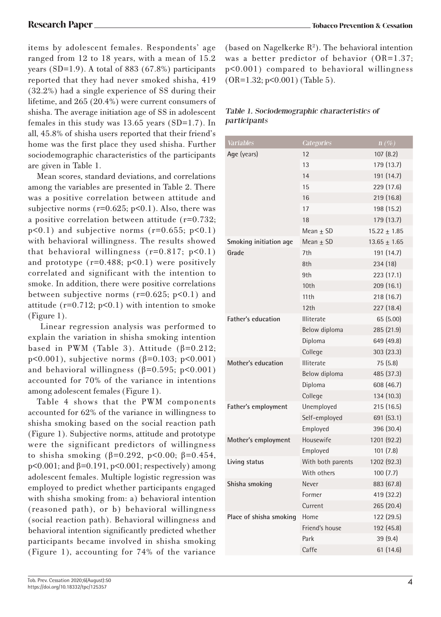items by adolescent females. Respondents' age ranged from 12 to 18 years, with a mean of 15.2 years  $(SD=1.9)$ . A total of 883  $(67.8\%)$  participants reported that they had never smoked shisha, 419 (32.2%) had a single experience of SS during their lifetime, and 265 (20.4%) were current consumers of shisha. The average initiation age of SS in adolescent females in this study was 13.65 years (SD=1.7). In all, 45.8% of shisha users reported that their friend's home was the first place they used shisha. Further sociodemographic characteristics of the participants are given in Table 1.

Mean scores, standard deviations, and correlations among the variables are presented in Table 2. There was a positive correlation between attitude and subjective norms ( $r=0.625$ ;  $p<0.1$ ). Also, there was a positive correlation between attitude (r=0.732;  $p<0.1$ ) and subjective norms ( $r=0.655$ ;  $p<0.1$ ) with behavioral willingness. The results showed that behavioral willingness  $(r=0.817; p<0.1)$ and prototype  $(r=0.488; p<0.1)$  were positively correlated and significant with the intention to smoke. In addition, there were positive correlations between subjective norms ( $r=0.625$ ;  $p<0.1$ ) and attitude  $(r=0.712; p<0.1)$  with intention to smoke (Figure 1).

 Linear regression analysis was performed to explain the variation in shisha smoking intention based in PWM (Table 3). Attitude ( $\beta = 0.212$ ; p<0.001), subjective norms ( $β=0.103$ ; p<0.001) and behavioral willingness  $(\beta=0.595; p<0.001)$ accounted for 70% of the variance in intentions among adolescent females (Figure 1).

Table 4 shows that the PWM components accounted for 62% of the variance in willingness to shisha smoking based on the social reaction path (Figure 1). Subjective norms, attitude and prototype were the significant predictors of willingness to shisha smoking (β=0.292, p<0.00; β=0.454, p<0.001; and β=0.191, p<0.001; respectively) among adolescent females. Multiple logistic regression was employed to predict whether participants engaged with shisha smoking from: a) behavioral intention (reasoned path), or b) behavioral willingness (social reaction path). Behavioral willingness and behavioral intention significantly predicted whether participants became involved in shisha smoking (Figure 1), accounting for 74% of the variance

(based on Nagelkerke  $R^2$ ). The behavioral intention was a better predictor of behavior (OR=1.37; p<0.001) compared to behavioral willingness (OR=1.32; p<0.001) (Table 5).

# Table 1. Sociodemographic characteristics of participants

| Variables                 | Categories        | $n(\%)$          |
|---------------------------|-------------------|------------------|
| Age (years)               | 12                | 107(8.2)         |
|                           | 13                | 179 (13.7)       |
|                           | 14                | 191 (14.7)       |
|                           | 15                | 229 (17.6)       |
|                           | 16                | 219 (16.8)       |
|                           | 17                | 198 (15.2)       |
|                           | 18                | 179 (13.7)       |
|                           | $Mean + SD$       | $15.22 \pm 1.85$ |
| Smoking initiation age    | Mean $\pm$ SD     | $13.65 \pm 1.65$ |
| Grade                     | 7th               | 191 (14.7)       |
|                           | 8th               | 234 (18)         |
|                           | 9th               | 223 (17.1)       |
|                           | 10th              | 209 (16.1)       |
|                           | 11th              | 218 (16.7)       |
|                           | 12th              | 227 (18.4)       |
| <b>Father's education</b> | <b>Illiterate</b> | 65 (5.00)        |
|                           | Below diploma     | 285 (21.9)       |
|                           | Diploma           | 649 (49.8)       |
|                           | College           | 303 (23.3)       |
| Mother's education        | Illiterate        | 75 (5.8)         |
|                           | Below diploma     | 485 (37.3)       |
|                           | Diploma           | 608 (46.7)       |
|                           | College           | 134 (10.3)       |
| Father's employment       | Unemployed        | 215 (16.5)       |
|                           | Self-employed     | 691 (53.1)       |
|                           | Employed          | 396 (30.4)       |
| Mother's employment       | Housewife         | 1201 (92.2)      |
|                           | Employed          | 101(7.8)         |
| Living status             | With both parents | 1202 (92.3)      |
|                           | With others       | 100(7.7)         |
| Shisha smoking            | Never             | 883 (67.8)       |
|                           | Former            | 419 (32.2)       |
|                           | Current           | 265 (20.4)       |
| Place of shisha smoking   | Home              | 122 (29.5)       |
|                           | Friend's house    | 192 (45.8)       |
|                           | Park              | 39 (9.4)         |
|                           | Caffe             | 61 (14.6)        |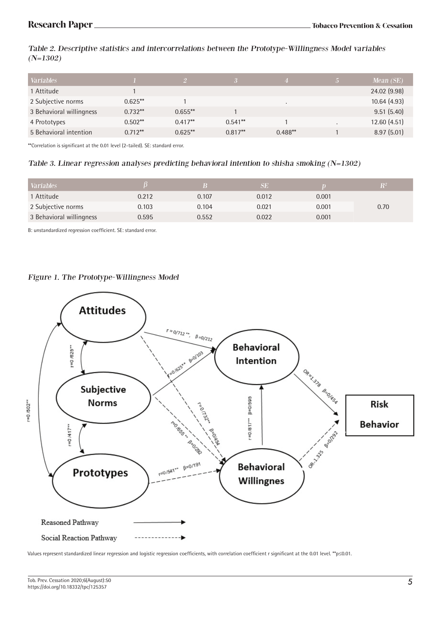Table 2. Descriptive statistics and intercorrelations between the Prototype-Willingness Model variables  $(N=1302)$ 

| <b>Variables</b>         |           |            |           |           |                          | Mean $(SE)$  |
|--------------------------|-----------|------------|-----------|-----------|--------------------------|--------------|
| 1 Attitude               |           |            |           |           |                          | 24.02 (9.98) |
| 2 Subjective norms       | $0.625**$ |            |           | $\bullet$ |                          | 10.64(4.93)  |
| 3 Behavioral willingness | $0.732**$ | $0.655**$  |           |           |                          | 9.51(5.40)   |
| 4 Prototypes             | $0.502**$ | $0.417**$  | $0.541**$ |           | $\overline{\phantom{a}}$ | 12.60(4.51)  |
| 5 Behavioral intention   | $0.712**$ | $0.625***$ | $0.817**$ | $0.488**$ |                          | 8.97(5.01)   |

\*\*Correlation is significant at the 0.01 level (2-tailed). SE: standard error.

#### Table 3. Linear regression analyses predicting behavioral intention to shisha smoking (N=1302)

| <b>Variables</b>         |       |       | SE    |       |      |
|--------------------------|-------|-------|-------|-------|------|
| 1 Attitude               | 0.212 | 0.107 | 0.012 | 0.001 |      |
| 2 Subjective norms       | 0.103 | 0.104 | 0.021 | 0.001 | 0.70 |
| 3 Behavioral willingness | 0.595 | 0.552 | 0.022 | 0.001 |      |

B: unstandardized regression coefficient. SE: standard error.

#### Figure 1. The Prototype-Willingness Model



Values represent standardized linear regression and logistic regression coefficients, with correlation coefficient r significant at the 0.01 level. \*\*p≤0.01.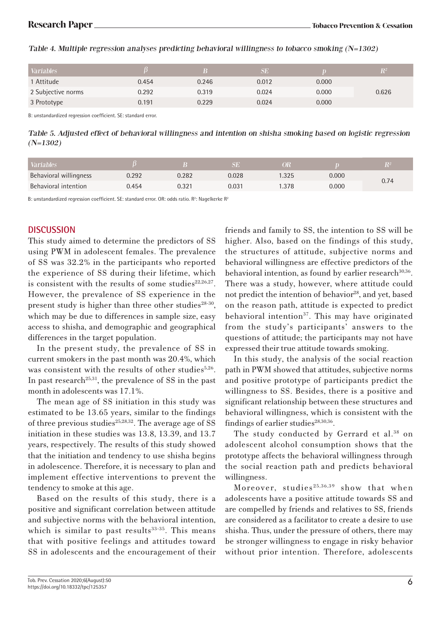|       |       | SE    |       | $\mathbf{R}^2$ |
|-------|-------|-------|-------|----------------|
| 0.454 | 0.246 | 0.012 | 0.000 |                |
| 0.292 | 0.319 | 0.024 | 0.000 | 0.626          |
| 0.191 | 0.229 | 0.024 | 0.000 |                |
|       |       |       |       |                |

#### Table 4. Multiple regression analyses predicting behavioral willingness to tobacco smoking (N=1302)

B: unstandardized regression coefficient. SE: standard error.

Table 5. Adjusted effect of behavioral willingness and intention on shisha smoking based on logistic regression (N=1302)

| <b>Variables</b>       |       |       | ٩U    |       |      |
|------------------------|-------|-------|-------|-------|------|
| Behavioral willingness | ).292 | 0.282 | 0.028 | 0.000 | 0.74 |
| Behavioral intention   | 0.454 | ).321 | 0.031 | 0.000 |      |

B: unstandardized regression coefficient. SE: standard error. OR: odds ratio.  $R^2$ : Nagelkerke  $R^2$ 

# **DISCUSSION**

This study aimed to determine the predictors of SS using PWM in adolescent females. The prevalence of SS was 32.2% in the participants who reported the experience of SS during their lifetime, which is consistent with the results of some studies $22,26,27$ . However, the prevalence of SS experience in the present study is higher than three other studies $28-30$ , which may be due to differences in sample size, easy access to shisha, and demographic and geographical differences in the target population.

In the present study, the prevalence of SS in current smokers in the past month was 20.4%, which was consistent with the results of other studies<sup>5,26</sup>. In past research<sup>25,31</sup>, the prevalence of SS in the past month in adolescents was 17.1%.

The mean age of SS initiation in this study was estimated to be 13.65 years, similar to the findings of three previous studies<sup>25,28,32</sup>. The average age of SS initiation in these studies was 13.8, 13.39, and 13.7 years, respectively. The results of this study showed that the initiation and tendency to use shisha begins in adolescence. Therefore, it is necessary to plan and implement effective interventions to prevent the tendency to smoke at this age.

Based on the results of this study, there is a positive and significant correlation between attitude and subjective norms with the behavioral intention, which is similar to past results<sup>33-35</sup>. This means that with positive feelings and attitudes toward SS in adolescents and the encouragement of their friends and family to SS, the intention to SS will be higher. Also, based on the findings of this study, the structures of attitude, subjective norms and behavioral willingness are effective predictors of the behavioral intention, as found by earlier research $30,36$ . There was a study, however, where attitude could not predict the intention of behavior<sup>28</sup>, and yet, based on the reason path, attitude is expected to predict behavioral intention<sup>37</sup>. This may have originated from the study's participants' answers to the questions of attitude; the participants may not have expressed their true attitude towards smoking.

In this study, the analysis of the social reaction path in PWM showed that attitudes, subjective norms and positive prototype of participants predict the willingness to SS. Besides, there is a positive and significant relationship between these structures and behavioral willingness, which is consistent with the findings of earlier studies $28,30,36$ .

The study conducted by Gerrard et al.<sup>38</sup> on adolescent alcohol consumption shows that the prototype affects the behavioral willingness through the social reaction path and predicts behavioral willingness.

Moreover, studies<sup>25,36,39</sup> show that when adolescents have a positive attitude towards SS and are compelled by friends and relatives to SS, friends are considered as a facilitator to create a desire to use shisha. Thus, under the pressure of others, there may be stronger willingness to engage in risky behavior without prior intention. Therefore, adolescents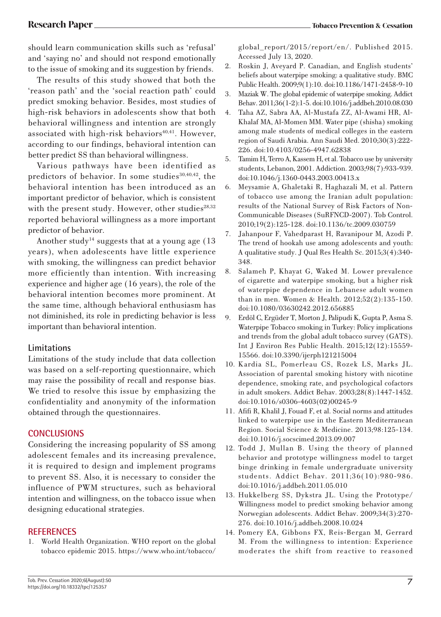should learn communication skills such as 'refusal' and 'saying no' and should not respond emotionally to the issue of smoking and its suggestion by friends.

The results of this study showed that both the 'reason path' and the 'social reaction path' could predict smoking behavior. Besides, most studies of high-risk behaviors in adolescents show that both behavioral willingness and intention are strongly associated with high-risk behaviors $40,41$ . However, according to our findings, behavioral intention can better predict SS than behavioral willingness.

Various pathways have been identified as predictors of behavior. In some studies $30,40,42$ , the behavioral intention has been introduced as an important predictor of behavior, which is consistent with the present study. However, other studies $28,32$ reported behavioral willingness as a more important predictor of behavior.

Another study<sup>14</sup> suggests that at a young age  $(13)$ years), when adolescents have little experience with smoking, the willingness can predict behavior more efficiently than intention. With increasing experience and higher age (16 years), the role of the behavioral intention becomes more prominent. At the same time, although behavioral enthusiasm has not diminished, its role in predicting behavior is less important than behavioral intention.

# **Limitations**

Limitations of the study include that data collection was based on a self-reporting questionnaire, which may raise the possibility of recall and response bias. We tried to resolve this issue by emphasizing the confidentiality and anonymity of the information obtained through the questionnaires.

# **CONCLUSIONS**

Considering the increasing popularity of SS among adolescent females and its increasing prevalence, it is required to design and implement programs to prevent SS. Also, it is necessary to consider the influence of PWM structures, such as behavioral intention and willingness, on the tobacco issue when designing educational strategies.

# **REFERENCES**

World Health Organization. WHO report on the global tobacco epidemic 2015. https://www.who.int/tobacco/

global\_report/2015/report/en/. Published 2015. Accessed July 13, 2020.

- 2. Roskin J, Aveyard P. Canadian, and English students' beliefs about waterpipe smoking: a qualitative study. BMC Public Health. 2009;9(1):10. doi:10.1186/1471-2458-9-10
- 3. Maziak W. The global epidemic of waterpipe smoking. Addict Behav. 2011;36(1-2):1-5. doi:10.1016/j.addbeh.2010.08.030
- 4. Taha AZ, Sabra AA, Al-Mustafa ZZ, Al-Awami HR, Al-Khalaf MA, Al-Momen MM. Water pipe (shisha) smoking among male students of medical colleges in the eastern region of Saudi Arabia. Ann Saudi Med. 2010;30(3):222- 226. doi:10.4103/0256-4947.62838
- 5. Tamim H, Terro A, Kassem H, et al. Tobacco use by university students, Lebanon, 2001. Addiction. 2003;98(7):933-939. doi:10.1046/j.1360-0443.2003.00413.x
- 6. Meysamie A, Ghaletaki R, Haghazali M, et al. Pattern of tobacco use among the Iranian adult population: results of the National Survey of Risk Factors of Non-Communicable Diseases (SuRFNCD-2007). Tob Control. 2010;19(2):125-128. doi:10.1136/tc.2009.030759
- 7. Jahanpour F, Vahedparast H, Ravanipour M, Azodi P. The trend of hookah use among adolescents and youth: A qualitative study. J Qual Res Health Sc. 2015;3(4):340- 348.
- 8. Salameh P, Khayat G, Waked M. Lower prevalence of cigarette and waterpipe smoking, but a higher risk of waterpipe dependence in Lebanese adult women than in men. Women & Health. 2012;52(2):135-150. doi:10.1080/03630242.2012.656885
- 9. Erdöl C, Ergüder T, Morton J, Palipudi K, Gupta P, Asma S. Waterpipe Tobacco smoking in Turkey: Policy implications and trends from the global adult tobacco survey (GATS). Int J Environ Res Public Health. 2015;12(12):15559- 15566. doi:10.3390/ijerph121215004
- 10. Kardia SL, Pomerleau CS, Rozek LS, Marks JL. Association of parental smoking history with nicotine dependence, smoking rate, and psychological cofactors in adult smokers. Addict Behav. 2003;28(8):1447-1452. doi:10.1016/s0306-4603(02)00245-9
- 11. Afifi R, Khalil J, Fouad F, et al. Social norms and attitudes linked to waterpipe use in the Eastern Mediterranean Region. Social Science & Medicine. 2013;98:125-134. doi:10.1016/j.socscimed.2013.09.007
- 12. Todd J, Mullan B. Using the theory of planned behavior and prototype willingness model to target binge drinking in female undergraduate university students. Addict Behav. 2011;36(10):980-986. doi:10.1016/j.addbeh.2011.05.010
- 13. Hukkelberg SS, Dykstra JL. Using the Prototype/ Willingness model to predict smoking behavior among Norwegian adolescents. Addict Behav. 2009;34(3):270- 276. doi:10.1016/j.addbeh.2008.10.024
- 14. Pomery EA, Gibbons FX, Reis-Bergan M, Gerrard M. From the willingness to intention: Experience moderates the shift from reactive to reasoned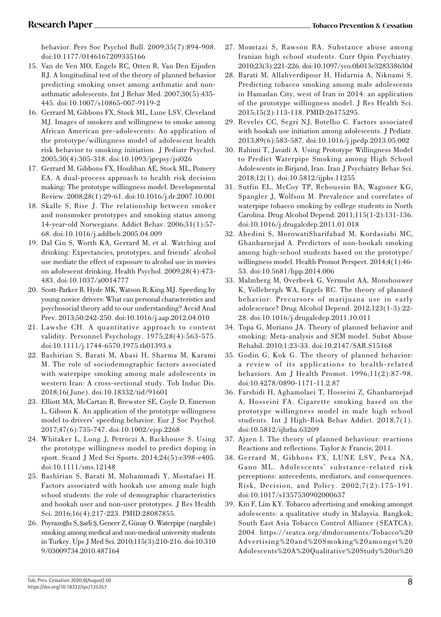behavior. Pers Soc Psychol Bull. 2009;35(7):894-908. doi:10.1177/0146167209335166

- 15. Van de Ven MO, Engels RC, Otten R, Van Den Eijnden RJ. A longitudinal test of the theory of planned behavior predicting smoking onset among asthmatic and nonasthmatic adolescents. Int J Behav Med. 2007;30(5):435- 445. doi:10.1007/s10865-007-9119-2
- 16. Gerrard M, Gibbons FX, Stock ML, Lune LSV, Cleveland MJ. Images of smokers and willingness to smoke among African American pre-adolescents: An application of the prototype/willingness model of adolescent health risk behavior to smoking initiation. J Pediatr Psychol. 2005;30(4):305-318. doi:10.1093/jpepsy/jsi026
- 17. Gerrard M, Gibbons FX, Houlihan AE, Stock ML, Pomery EA. A dual-process approach to health risk decision making: The prototype willingness model. Developmental Review. 2008;28(1):29-61. doi:10.1016/j.dr.2007.10.001
- 18. Skalle S, Rise J. The relationship between smoker and nonsmoker prototypes and smoking status among 14-year-old Norwegians. Addict Behav. 2006;31(1):57- 68. doi:10.1016/j.addbeh.2005.04.009
- 19. Dal Cin S, Worth KA, Gerrard M, et al. Watching and drinking: Expectancies, prototypes, and friends' alcohol use mediate the effect of exposure to alcohol use in movies on adolescent drinking. Health Psychol. 2009;28(4):473- 483. doi:10.1037/a0014777
- 20. Scott-Parker B, Hyde MK, Watson B, King MJ. Speeding by young novice drivers: What can personal characteristics and psychosocial theory add to our understanding? Accid Anal Prev. 2013;50:242-250. doi:10.1016/j.aap.2012.04.010
- 21. Lawshe CH. A quantitative approach to content validity. Personnel Psychology. 1975;28(4):563-575. doi:10.1111/j.1744-6570.1975.tb01393.x
- 22. Bashirian S, Barati M, Abasi H, Sharma M, Karami M. The role of sociodemographic factors associated with waterpipe smoking among male adolescents in western Iran: A cross-sectional study. Tob Induc Dis. 2018;16(June). doi:10.18332/tid/91601
- 23. Elliott MA, McCartan R, Brewster SE, Coyle D, Emerson L, Gibson K. An application of the prototype willingness model to drivers' speeding behavior. Eur J Soc Psychol. 2017;47(6):735-747. doi:10.1002/ejsp.2268
- 24. Whitaker L, Long J, Petróczi A, Backhouse S. Using the prototype willingness model to predict doping in sport. Scand J Med Sci Sports. 2014;24(5):e398-e405. doi:10.1111/sms.12148
- 25. Bashirian S, Barati M, Mohammadi Y, Mostafaei H. Factors associated with hookah use among male high school students: the role of demographic characteristics and hookah user and non-user prototypes. J Res Health Sci. 2016;16(4):217-223. PMID:28087855.
- 26. Poyrazoğlu S, Şarli Ş, Gencer Z, Günay O. Waterpipe (narghile) smoking among medical and non-medical university students in Turkey. Ups J Med Sci. 2010;115(3):210-216. doi:10.310 9/03009734.2010.487164
- 27. Momtazi S, Rawson RA. Substance abuse among Iranian high school students. Curr Opin Psychiatry. 2010;23(3):221-226. doi:10.1097/yco.0b013e328338630d
- 28. Barati M, Allahverdipour H, Hidarnia A, Niknami S. Predicting tobacco smoking among male adolescents in Hamadan City, west of Iran in 2014: an application of the prototype willingness model. J Res Health Sci. 2015;15(2):113-118. PMID:26175295.
- 29. Reveles CC, Segri NJ, Botelho C. Factors associated with hookah use initiation among adolescents. J Pediatr. 2013;89(6):583-587. doi:10.1016/j.jpedp.2013.05.002
- 30. Rahimi T, Javadi A. Using Prototype Willingness Model to Predict Waterpipe Smoking among High School Adolescents in Birjand, Iran. Iran J Psychiatry Behav Sci. 2018;12(1). doi:10.5812/ijpbs.11255
- 31. Sutfin EL, McCoy TP, Reboussin BA, Wagoner KG, Spangler J, Wolfson M. Prevalence and correlates of waterpipe tobacco smoking by college students in North Carolina. Drug Alcohol Depend. 2011;115(1-2):131-136. doi:10.1016/j.drugalcdep.2011.01.018
- 32. Abedini S, MorowatiSharifabad M, Kordasiabi MC, Ghanbarnejad A. Predictors of non-hookah smoking among high-school students based on the prototype/ willingness model. Health Promot Perspect. 2014;4(1):46- 53. doi:10.5681/hpp.2014.006
- 33. Malmberg M, Overbeek G, Vermulst AA, Monshouwer K, Vollebergh WA, Engels RC. The theory of planned behavior: Precursors of marijuana use in early adolescence? Drug Alcohol Depend. 2012;123(1-3):22- 28. doi:10.1016/j.drugalcdep.2011.10.011
- 34. Topa G, Moriano JA. Theory of planned behavior and smoking: Meta-analysis and SEM model. Subst Abuse Rehabil. 2010;1:23-33. doi:10.2147/SAR.S15168
- 35. Godin G, Kok G. The theory of planned behavior: a review of its applications to health-related behaviors. Am J Health Promot. 1996;11(2):87-98. doi:10.4278/0890-1171-11.2.87
- 36. Farshidi H, Aghamolaei T, Hosseini Z, Ghanbarnejad A, Hosseini FA. Cigarette smoking based on the prototype willingness model in male high school students. Int J High-Risk Behav Addict. 2018;7(1). doi:10.5812/ijhrba.63209
- 37. Ajzen I. The theory of planned behaviour: reactions Reactions and reflections. Taylor & Francis; 2011.
- 38. Gerrard M, Gibbons FX, LUNE LSV, Pexa NA, Gano ML. Adolescents' substance-related risk perceptions: antecedents, mediators, and consequences. Risk, Decision, and Policy. 2002;7(2):175-191. doi:10.1017/s1357530902000637
- 39. Kin F, Lim KY. Tobacco advertising and smoking amongst adolescents: a qualitative study in Malaysia. Bangkok; South East Asia Tobacco Control Alliance (SEATCA); 2004. https://seatca.org/dmdocuments/Tobacco%20 Advertising%20and%20Smoking%20amongst%20 Adolescents%20A%20Qualitative%20Study%20in%20